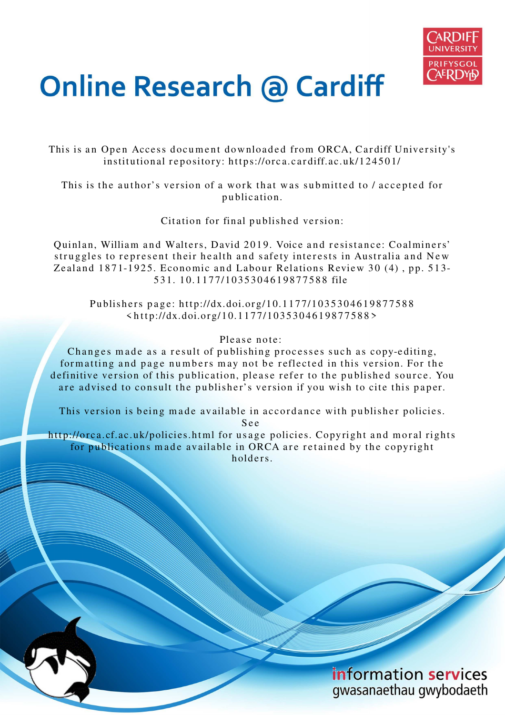

# **Online Research @ Cardiff**

This is an Open Access document downloaded from ORCA, Cardiff University's institutional repository: https://orca.cardiff.ac.uk/124501/

This is the author's version of a work that was submitted to / accepted for p u blication.

Citation for final published version:

Quinlan, William and Walters, David 2019. Voice and resistance: Coalminers' struggles to represent their health and safety interests in Australia and New Zealand 1871-1925. Economic and Labour Relations Review 30 (4), pp. 513-5 3 1. 1 0.11 7 7/10 3 5 3 0 4 6 1 9 8 7 7 5 8 8 file

Publishers page: http://dx.doi.org/10.1177/1035304619877588  $\langle \text{http://dx.doi.org/10.1177/1035304619877588>}$ 

### Please note:

Changes made as a result of publishing processes such as copy-editing, formatting and page numbers may not be reflected in this version. For the definitive version of this publication, please refer to the published source. You are advised to consult the publisher's version if you wish to cite this paper.

This version is being made available in accordance with publisher policies.

S e e

http://orca.cf.ac.uk/policies.html for usage policies. Copyright and moral rights for publications made available in ORCA are retained by the copyright holders

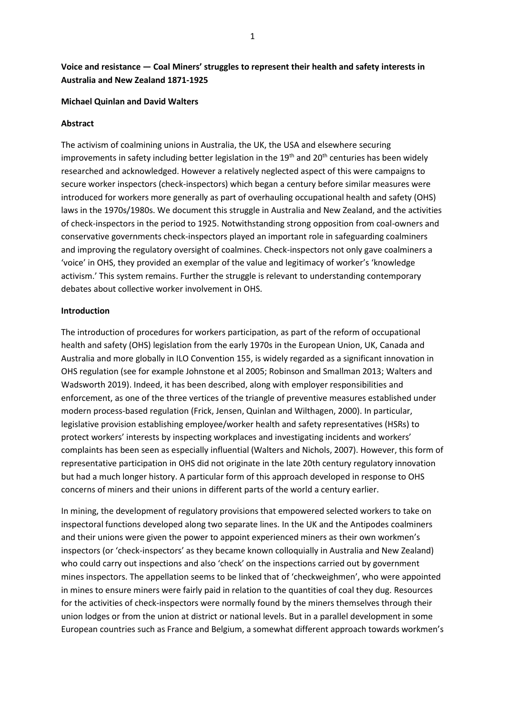## **Voice and resistance — Coal Miners' struggles to represent their health and safety interests in Australia and New Zealand 1871-1925**

#### **Michael Quinlan and David Walters**

#### **Abstract**

The activism of coalmining unions in Australia, the UK, the USA and elsewhere securing improvements in safety including better legislation in the 19<sup>th</sup> and 20<sup>th</sup> centuries has been widely researched and acknowledged. However a relatively neglected aspect of this were campaigns to secure worker inspectors (check-inspectors) which began a century before similar measures were introduced for workers more generally as part of overhauling occupational health and safety (OHS) laws in the 1970s/1980s. We document this struggle in Australia and New Zealand, and the activities of check-inspectors in the period to 1925. Notwithstanding strong opposition from coal-owners and conservative governments check-inspectors played an important role in safeguarding coalminers and improving the regulatory oversight of coalmines. Check-inspectors not only gave coalminers a 'voice' in OHS, they provided an exemplar of the value and legitimacy of worker's 'knowledge activism.' This system remains. Further the struggle is relevant to understanding contemporary debates about collective worker involvement in OHS.

#### **Introduction**

The introduction of procedures for workers participation, as part of the reform of occupational health and safety (OHS) legislation from the early 1970s in the European Union, UK, Canada and Australia and more globally in ILO Convention 155, is widely regarded as a significant innovation in OHS regulation (see for example Johnstone et al 2005; Robinson and Smallman 2013; Walters and Wadsworth 2019). Indeed, it has been described, along with employer responsibilities and enforcement, as one of the three vertices of the triangle of preventive measures established under modern process-based regulation (Frick, Jensen, Quinlan and Wilthagen, 2000). In particular, legislative provision establishing employee/worker health and safety representatives (HSRs) to protect workers' interests by inspecting workplaces and investigating incidents and workers' complaints has been seen as especially influential (Walters and Nichols, 2007). However, this form of representative participation in OHS did not originate in the late 20th century regulatory innovation but had a much longer history. A particular form of this approach developed in response to OHS concerns of miners and their unions in different parts of the world a century earlier.

In mining, the development of regulatory provisions that empowered selected workers to take on inspectoral functions developed along two separate lines. In the UK and the Antipodes coalminers and their unions were given the power to appoint experienced miners as their own workmen's inspectors (or 'check-inspectors' as they became known colloquially in Australia and New Zealand) who could carry out inspections and also 'check' on the inspections carried out by government mines inspectors. The appellation seems to be linked that of 'checkweighmen', who were appointed in mines to ensure miners were fairly paid in relation to the quantities of coal they dug. Resources for the activities of check-inspectors were normally found by the miners themselves through their union lodges or from the union at district or national levels. But in a parallel development in some European countries such as France and Belgium, a somewhat different approach towards workmen's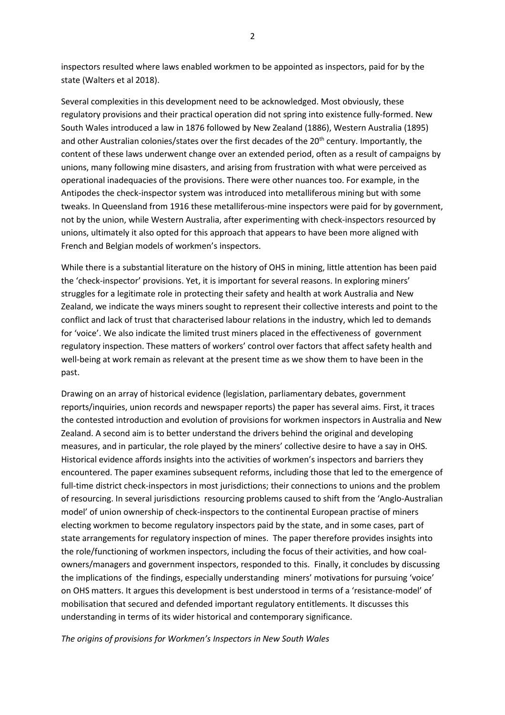inspectors resulted where laws enabled workmen to be appointed as inspectors, paid for by the state (Walters et al 2018).

Several complexities in this development need to be acknowledged. Most obviously, these regulatory provisions and their practical operation did not spring into existence fully-formed. New South Wales introduced a law in 1876 followed by New Zealand (1886), Western Australia (1895) and other Australian colonies/states over the first decades of the 20<sup>th</sup> century. Importantly, the content of these laws underwent change over an extended period, often as a result of campaigns by unions, many following mine disasters, and arising from frustration with what were perceived as operational inadequacies of the provisions. There were other nuances too. For example, in the Antipodes the check-inspector system was introduced into metalliferous mining but with some tweaks. In Queensland from 1916 these metalliferous-mine inspectors were paid for by government, not by the union, while Western Australia, after experimenting with check-inspectors resourced by unions, ultimately it also opted for this approach that appears to have been more aligned with French and Belgian models of workmen's inspectors.

While there is a substantial literature on the history of OHS in mining, little attention has been paid the 'check-inspector' provisions. Yet, it is important for several reasons. In exploring miners' struggles for a legitimate role in protecting their safety and health at work Australia and New Zealand, we indicate the ways miners sought to represent their collective interests and point to the conflict and lack of trust that characterised labour relations in the industry, which led to demands for 'voice'. We also indicate the limited trust miners placed in the effectiveness of government regulatory inspection. These matters of workers' control over factors that affect safety health and well-being at work remain as relevant at the present time as we show them to have been in the past.

Drawing on an array of historical evidence (legislation, parliamentary debates, government reports/inquiries, union records and newspaper reports) the paper has several aims. First, it traces the contested introduction and evolution of provisions for workmen inspectors in Australia and New Zealand. A second aim is to better understand the drivers behind the original and developing measures, and in particular, the role played by the miners' collective desire to have a say in OHS. Historical evidence affords insights into the activities of workmen's inspectors and barriers they encountered. The paper examines subsequent reforms, including those that led to the emergence of full-time district check-inspectors in most jurisdictions; their connections to unions and the problem of resourcing. In several jurisdictions resourcing problems caused to shift from the 'Anglo-Australian model' of union ownership of check-inspectors to the continental European practise of miners electing workmen to become regulatory inspectors paid by the state, and in some cases, part of state arrangements for regulatory inspection of mines. The paper therefore provides insights into the role/functioning of workmen inspectors, including the focus of their activities, and how coalowners/managers and government inspectors, responded to this. Finally, it concludes by discussing the implications of the findings, especially understanding miners' motivations for pursuing 'voice' on OHS matters. It argues this development is best understood in terms of a 'resistance-model' of mobilisation that secured and defended important regulatory entitlements. It discusses this understanding in terms of its wider historical and contemporary significance.

*The origins of provisions for Workmen's Inspectors in New South Wales*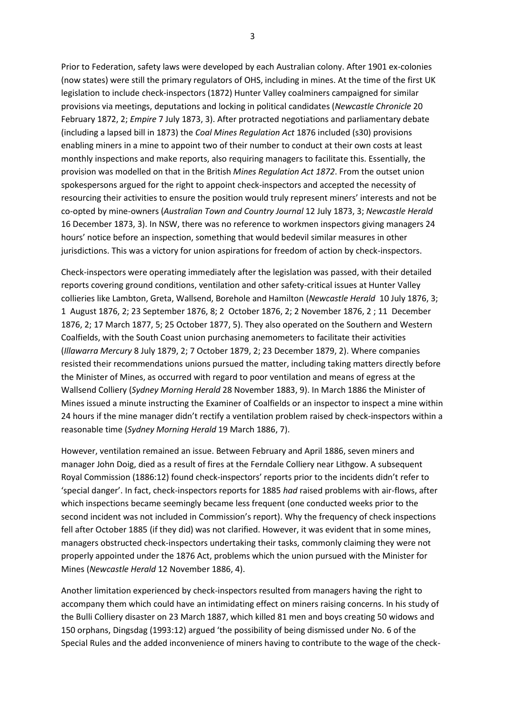Prior to Federation, safety laws were developed by each Australian colony. After 1901 ex-colonies (now states) were still the primary regulators of OHS, including in mines. At the time of the first UK legislation to include check-inspectors (1872) Hunter Valley coalminers campaigned for similar provisions via meetings, deputations and locking in political candidates (*Newcastle Chronicle* 20 February 1872, 2; *Empire* 7 July 1873, 3). After protracted negotiations and parliamentary debate (including a lapsed bill in 1873) the *Coal Mines Regulation Act* 1876 included (s30) provisions enabling miners in a mine to appoint two of their number to conduct at their own costs at least monthly inspections and make reports, also requiring managers to facilitate this. Essentially, the provision was modelled on that in the British *Mines Regulation Act 1872*. From the outset union spokespersons argued for the right to appoint check-inspectors and accepted the necessity of resourcing their activities to ensure the position would truly represent miners' interests and not be co-opted by mine-owners (*Australian Town and Country Journal* 12 July 1873, 3; *Newcastle Herald* 16 December 1873, 3). In NSW, there was no reference to workmen inspectors giving managers 24 hours' notice before an inspection, something that would bedevil similar measures in other jurisdictions. This was a victory for union aspirations for freedom of action by check-inspectors.

Check-inspectors were operating immediately after the legislation was passed, with their detailed reports covering ground conditions, ventilation and other safety-critical issues at Hunter Valley collieries like Lambton, Greta, Wallsend, Borehole and Hamilton (*Newcastle Herald* 10 July 1876, 3; 1 August 1876, 2; 23 September 1876, 8; 2 October 1876, 2; 2 November 1876, 2 ; 11 December 1876, 2; 17 March 1877, 5; 25 October 1877, 5). They also operated on the Southern and Western Coalfields, with the South Coast union purchasing anemometers to facilitate their activities (*Illawarra Mercury* 8 July 1879, 2; 7 October 1879, 2; 23 December 1879, 2). Where companies resisted their recommendations unions pursued the matter, including taking matters directly before the Minister of Mines, as occurred with regard to poor ventilation and means of egress at the Wallsend Colliery (*Sydney Morning Herald* 28 November 1883, 9). In March 1886 the Minister of Mines issued a minute instructing the Examiner of Coalfields or an inspector to inspect a mine within 24 hours if the mine manager didn't rectify a ventilation problem raised by check-inspectors within a reasonable time (*Sydney Morning Herald* 19 March 1886, 7).

However, ventilation remained an issue. Between February and April 1886, seven miners and manager John Doig, died as a result of fires at the Ferndale Colliery near Lithgow. A subsequent Royal Commission (1886:12) found check-inspectors' reports prior to the incidents didn't refer to 'special danger'. In fact, check-inspectors reports for 1885 *had* raised problems with air-flows, after which inspections became seemingly became less frequent (one conducted weeks prior to the second incident was not included in Commission's report). Why the frequency of check inspections fell after October 1885 (if they did) was not clarified. However, it was evident that in some mines, managers obstructed check-inspectors undertaking their tasks, commonly claiming they were not properly appointed under the 1876 Act, problems which the union pursued with the Minister for Mines (*Newcastle Herald* 12 November 1886, 4).

Another limitation experienced by check-inspectors resulted from managers having the right to accompany them which could have an intimidating effect on miners raising concerns. In his study of the Bulli Colliery disaster on 23 March 1887, which killed 81 men and boys creating 50 widows and 150 orphans, Dingsdag (1993:12) argued 'the possibility of being dismissed under No. 6 of the Special Rules and the added inconvenience of miners having to contribute to the wage of the check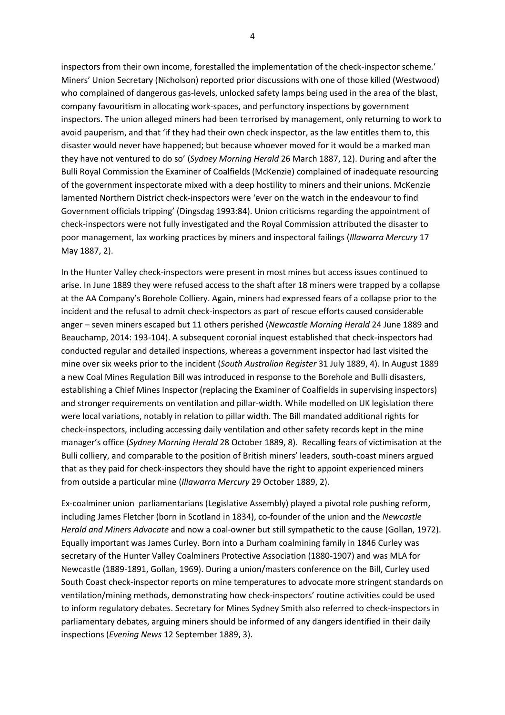inspectors from their own income, forestalled the implementation of the check-inspector scheme.' Miners' Union Secretary (Nicholson) reported prior discussions with one of those killed (Westwood) who complained of dangerous gas-levels, unlocked safety lamps being used in the area of the blast, company favouritism in allocating work-spaces, and perfunctory inspections by government inspectors. The union alleged miners had been terrorised by management, only returning to work to avoid pauperism, and that 'if they had their own check inspector, as the law entitles them to, this disaster would never have happened; but because whoever moved for it would be a marked man they have not ventured to do so' (*Sydney Morning Herald* 26 March 1887, 12). During and after the Bulli Royal Commission the Examiner of Coalfields (McKenzie) complained of inadequate resourcing of the government inspectorate mixed with a deep hostility to miners and their unions. McKenzie lamented Northern District check-inspectors were 'ever on the watch in the endeavour to find Government officials tripping' (Dingsdag 1993:84). Union criticisms regarding the appointment of check-inspectors were not fully investigated and the Royal Commission attributed the disaster to poor management, lax working practices by miners and inspectoral failings (*Illawarra Mercury* 17 May 1887, 2).

In the Hunter Valley check-inspectors were present in most mines but access issues continued to arise. In June 1889 they were refused access to the shaft after 18 miners were trapped by a collapse at the AA Company's Borehole Colliery. Again, miners had expressed fears of a collapse prior to the incident and the refusal to admit check-inspectors as part of rescue efforts caused considerable anger – seven miners escaped but 11 others perished (*Newcastle Morning Herald* 24 June 1889 and Beauchamp, 2014: 193-104). A subsequent coronial inquest established that check-inspectors had conducted regular and detailed inspections, whereas a government inspector had last visited the mine over six weeks prior to the incident (*South Australian Register* 31 July 1889, 4). In August 1889 a new Coal Mines Regulation Bill was introduced in response to the Borehole and Bulli disasters, establishing a Chief Mines Inspector (replacing the Examiner of Coalfields in supervising inspectors) and stronger requirements on ventilation and pillar-width. While modelled on UK legislation there were local variations, notably in relation to pillar width. The Bill mandated additional rights for check-inspectors, including accessing daily ventilation and other safety records kept in the mine manager's office (*Sydney Morning Herald* 28 October 1889, 8). Recalling fears of victimisation at the Bulli colliery, and comparable to the position of British miners' leaders, south-coast miners argued that as they paid for check-inspectors they should have the right to appoint experienced miners from outside a particular mine (*Illawarra Mercury* 29 October 1889, 2).

Ex-coalminer union parliamentarians (Legislative Assembly) played a pivotal role pushing reform, including James Fletcher (born in Scotland in 1834), co-founder of the union and the *Newcastle Herald and Miners Advocate* and now a coal-owner but still sympathetic to the cause (Gollan, 1972). Equally important was James Curley. Born into a Durham coalmining family in 1846 Curley was secretary of the Hunter Valley Coalminers Protective Association (1880-1907) and was MLA for Newcastle (1889-1891, Gollan, 1969). During a union/masters conference on the Bill, Curley used South Coast check-inspector reports on mine temperatures to advocate more stringent standards on ventilation/mining methods, demonstrating how check-inspectors' routine activities could be used to inform regulatory debates. Secretary for Mines Sydney Smith also referred to check-inspectors in parliamentary debates, arguing miners should be informed of any dangers identified in their daily inspections (*Evening News* 12 September 1889, 3).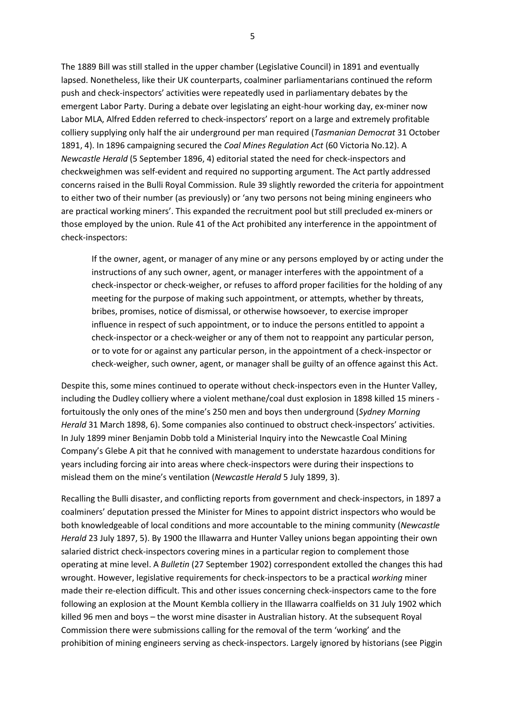The 1889 Bill was still stalled in the upper chamber (Legislative Council) in 1891 and eventually lapsed. Nonetheless, like their UK counterparts, coalminer parliamentarians continued the reform push and check-inspectors' activities were repeatedly used in parliamentary debates by the emergent Labor Party. During a debate over legislating an eight-hour working day, ex-miner now Labor MLA, Alfred Edden referred to check-inspectors' report on a large and extremely profitable colliery supplying only half the air underground per man required (*Tasmanian Democrat* 31 October 1891, 4). In 1896 campaigning secured the *Coal Mines Regulation Act* (60 Victoria No.12). A *Newcastle Herald* (5 September 1896, 4) editorial stated the need for check-inspectors and checkweighmen was self-evident and required no supporting argument. The Act partly addressed concerns raised in the Bulli Royal Commission. Rule 39 slightly reworded the criteria for appointment to either two of their number (as previously) or 'any two persons not being mining engineers who are practical working miners'. This expanded the recruitment pool but still precluded ex-miners or those employed by the union. Rule 41 of the Act prohibited any interference in the appointment of check-inspectors:

If the owner, agent, or manager of any mine or any persons employed by or acting under the instructions of any such owner, agent, or manager interferes with the appointment of a check-inspector or check-weigher, or refuses to afford proper facilities for the holding of any meeting for the purpose of making such appointment, or attempts, whether by threats, bribes, promises, notice of dismissal, or otherwise howsoever, to exercise improper influence in respect of such appointment, or to induce the persons entitled to appoint a check-inspector or a check-weigher or any of them not to reappoint any particular person, or to vote for or against any particular person, in the appointment of a check-inspector or check-weigher, such owner, agent, or manager shall be guilty of an offence against this Act.

Despite this, some mines continued to operate without check-inspectors even in the Hunter Valley, including the Dudley colliery where a violent methane/coal dust explosion in 1898 killed 15 miners fortuitously the only ones of the mine's 250 men and boys then underground (*Sydney Morning Herald* 31 March 1898, 6). Some companies also continued to obstruct check-inspectors' activities. In July 1899 miner Benjamin Dobb told a Ministerial Inquiry into the Newcastle Coal Mining Company's Glebe A pit that he connived with management to understate hazardous conditions for years including forcing air into areas where check-inspectors were during their inspections to mislead them on the mine's ventilation (*Newcastle Herald* 5 July 1899, 3).

Recalling the Bulli disaster, and conflicting reports from government and check-inspectors, in 1897 a coalminers' deputation pressed the Minister for Mines to appoint district inspectors who would be both knowledgeable of local conditions and more accountable to the mining community (*Newcastle Herald* 23 July 1897, 5). By 1900 the Illawarra and Hunter Valley unions began appointing their own salaried district check-inspectors covering mines in a particular region to complement those operating at mine level. A *Bulletin* (27 September 1902) correspondent extolled the changes this had wrought. However, legislative requirements for check-inspectors to be a practical *working* miner made their re-election difficult. This and other issues concerning check-inspectors came to the fore following an explosion at the Mount Kembla colliery in the Illawarra coalfields on 31 July 1902 which killed 96 men and boys – the worst mine disaster in Australian history. At the subsequent Royal Commission there were submissions calling for the removal of the term 'working' and the prohibition of mining engineers serving as check-inspectors. Largely ignored by historians (see Piggin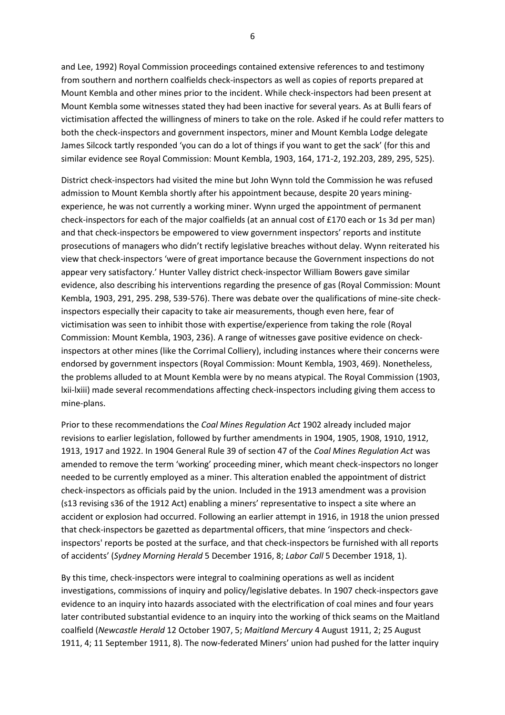and Lee, 1992) Royal Commission proceedings contained extensive references to and testimony from southern and northern coalfields check-inspectors as well as copies of reports prepared at Mount Kembla and other mines prior to the incident. While check-inspectors had been present at Mount Kembla some witnesses stated they had been inactive for several years. As at Bulli fears of victimisation affected the willingness of miners to take on the role. Asked if he could refer matters to both the check-inspectors and government inspectors, miner and Mount Kembla Lodge delegate James Silcock tartly responded 'you can do a lot of things if you want to get the sack' (for this and similar evidence see Royal Commission: Mount Kembla, 1903, 164, 171-2, 192.203, 289, 295, 525).

District check-inspectors had visited the mine but John Wynn told the Commission he was refused admission to Mount Kembla shortly after his appointment because, despite 20 years miningexperience, he was not currently a working miner. Wynn urged the appointment of permanent check-inspectors for each of the major coalfields (at an annual cost of £170 each or 1s 3d per man) and that check-inspectors be empowered to view government inspectors' reports and institute prosecutions of managers who didn't rectify legislative breaches without delay. Wynn reiterated his view that check-inspectors 'were of great importance because the Government inspections do not appear very satisfactory.' Hunter Valley district check-inspector William Bowers gave similar evidence, also describing his interventions regarding the presence of gas (Royal Commission: Mount Kembla, 1903, 291, 295. 298, 539-576). There was debate over the qualifications of mine-site checkinspectors especially their capacity to take air measurements, though even here, fear of victimisation was seen to inhibit those with expertise/experience from taking the role (Royal Commission: Mount Kembla, 1903, 236). A range of witnesses gave positive evidence on checkinspectors at other mines (like the Corrimal Colliery), including instances where their concerns were endorsed by government inspectors (Royal Commission: Mount Kembla, 1903, 469). Nonetheless, the problems alluded to at Mount Kembla were by no means atypical. The Royal Commission (1903, lxii-lxiii) made several recommendations affecting check-inspectors including giving them access to mine-plans.

Prior to these recommendations the *Coal Mines Regulation Act* 1902 already included major revisions to earlier legislation, followed by further amendments in 1904, 1905, 1908, 1910, 1912, 1913, 1917 and 1922. In 1904 General Rule 39 of section 47 of the *Coal Mines Regulation Act* was amended to remove the term 'working' proceeding miner, which meant check-inspectors no longer needed to be currently employed as a miner. This alteration enabled the appointment of district check-inspectors as officials paid by the union. Included in the 1913 amendment was a provision (s13 revising s36 of the 1912 Act) enabling a miners' representative to inspect a site where an accident or explosion had occurred. Following an earlier attempt in 1916, in 1918 the union pressed that check-inspectors be gazetted as departmental officers, that mine 'inspectors and checkinspectors' reports be posted at the surface, and that check-inspectors be furnished with all reports of accidents' (*Sydney Morning Herald* 5 December 1916, 8; *Labor Call* 5 December 1918, 1).

By this time, check-inspectors were integral to coalmining operations as well as incident investigations, commissions of inquiry and policy/legislative debates. In 1907 check-inspectors gave evidence to an inquiry into hazards associated with the electrification of coal mines and four years later contributed substantial evidence to an inquiry into the working of thick seams on the Maitland coalfield (*Newcastle Herald* 12 October 1907, 5; *Maitland Mercury* 4 August 1911, 2; 25 August 1911, 4; 11 September 1911, 8). The now-federated Miners' union had pushed for the latter inquiry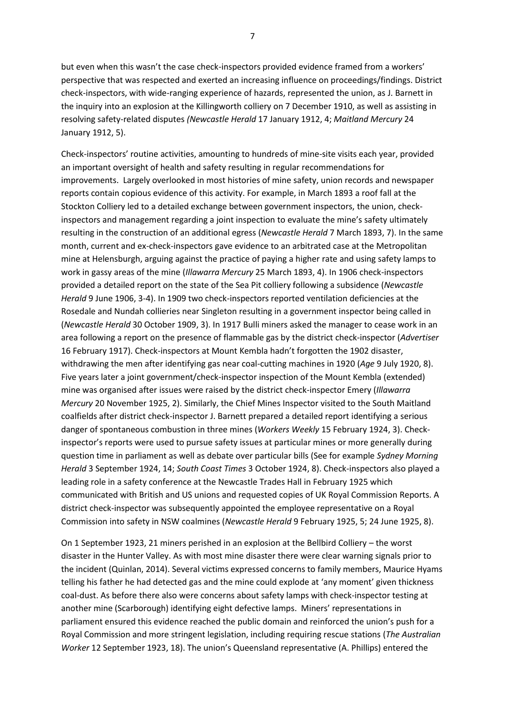but even when this wasn't the case check-inspectors provided evidence framed from a workers' perspective that was respected and exerted an increasing influence on proceedings/findings. District check-inspectors, with wide-ranging experience of hazards, represented the union, as J. Barnett in the inquiry into an explosion at the Killingworth colliery on 7 December 1910, as well as assisting in resolving safety-related disputes *(Newcastle Herald* 17 January 1912, 4; *Maitland Mercury* 24 January 1912, 5).

Check-inspectors' routine activities, amounting to hundreds of mine-site visits each year, provided an important oversight of health and safety resulting in regular recommendations for improvements. Largely overlooked in most histories of mine safety, union records and newspaper reports contain copious evidence of this activity. For example, in March 1893 a roof fall at the Stockton Colliery led to a detailed exchange between government inspectors, the union, checkinspectors and management regarding a joint inspection to evaluate the mine's safety ultimately resulting in the construction of an additional egress (*Newcastle Herald* 7 March 1893, 7). In the same month, current and ex-check-inspectors gave evidence to an arbitrated case at the Metropolitan mine at Helensburgh, arguing against the practice of paying a higher rate and using safety lamps to work in gassy areas of the mine (*Illawarra Mercury* 25 March 1893, 4). In 1906 check-inspectors provided a detailed report on the state of the Sea Pit colliery following a subsidence (*Newcastle Herald* 9 June 1906, 3-4). In 1909 two check-inspectors reported ventilation deficiencies at the Rosedale and Nundah collieries near Singleton resulting in a government inspector being called in (*Newcastle Herald* 30 October 1909, 3). In 1917 Bulli miners asked the manager to cease work in an area following a report on the presence of flammable gas by the district check-inspector (*Advertiser* 16 February 1917). Check-inspectors at Mount Kembla hadn't forgotten the 1902 disaster, withdrawing the men after identifying gas near coal-cutting machines in 1920 (*Age* 9 July 1920, 8). Five years later a joint government/check-inspector inspection of the Mount Kembla (extended) mine was organised after issues were raised by the district check-inspector Emery (*Illawarra Mercury* 20 November 1925, 2). Similarly, the Chief Mines Inspector visited to the South Maitland coalfields after district check-inspector J. Barnett prepared a detailed report identifying a serious danger of spontaneous combustion in three mines (*Workers Weekly* 15 February 1924, 3). Checkinspector's reports were used to pursue safety issues at particular mines or more generally during question time in parliament as well as debate over particular bills (See for example *Sydney Morning Herald* 3 September 1924, 14; *South Coast Times* 3 October 1924, 8). Check-inspectors also played a leading role in a safety conference at the Newcastle Trades Hall in February 1925 which communicated with British and US unions and requested copies of UK Royal Commission Reports. A district check-inspector was subsequently appointed the employee representative on a Royal Commission into safety in NSW coalmines (*Newcastle Herald* 9 February 1925, 5; 24 June 1925, 8).

On 1 September 1923, 21 miners perished in an explosion at the Bellbird Colliery – the worst disaster in the Hunter Valley. As with most mine disaster there were clear warning signals prior to the incident (Quinlan, 2014). Several victims expressed concerns to family members, Maurice Hyams telling his father he had detected gas and the mine could explode at 'any moment' given thickness coal-dust. As before there also were concerns about safety lamps with check-inspector testing at another mine (Scarborough) identifying eight defective lamps. Miners' representations in parliament ensured this evidence reached the public domain and reinforced the union's push for a Royal Commission and more stringent legislation, including requiring rescue stations (*The Australian Worker* 12 September 1923, 18). The union's Queensland representative (A. Phillips) entered the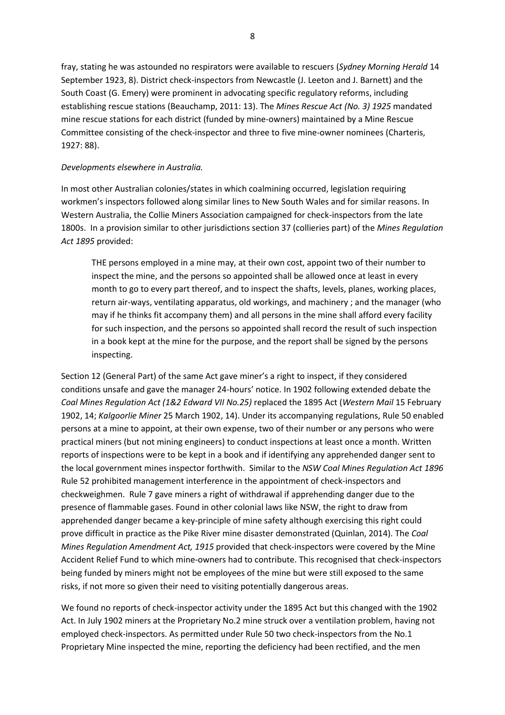fray, stating he was astounded no respirators were available to rescuers (*Sydney Morning Herald* 14 September 1923, 8). District check-inspectors from Newcastle (J. Leeton and J. Barnett) and the South Coast (G. Emery) were prominent in advocating specific regulatory reforms, including establishing rescue stations (Beauchamp, 2011: 13). The *Mines Rescue Act (No. 3) 1925* mandated mine rescue stations for each district (funded by mine-owners) maintained by a Mine Rescue Committee consisting of the check-inspector and three to five mine-owner nominees (Charteris, 1927: 88).

#### *Developments elsewhere in Australia.*

In most other Australian colonies/states in which coalmining occurred, legislation requiring workmen's inspectors followed along similar lines to New South Wales and for similar reasons. In Western Australia, the Collie Miners Association campaigned for check-inspectors from the late 1800s. In a provision similar to other jurisdictions section 37 (collieries part) of the *Mines Regulation Act 1895* provided:

THE persons employed in a mine may, at their own cost, appoint two of their number to inspect the mine, and the persons so appointed shall be allowed once at least in every month to go to every part thereof, and to inspect the shafts, levels, planes, working places, return air-ways, ventilating apparatus, old workings, and machinery ; and the manager (who may if he thinks fit accompany them) and all persons in the mine shall afford every facility for such inspection, and the persons so appointed shall record the result of such inspection in a book kept at the mine for the purpose, and the report shall be signed by the persons inspecting.

Section 12 (General Part) of the same Act gave miner's a right to inspect, if they considered conditions unsafe and gave the manager 24-hours' notice. In 1902 following extended debate the *Coal Mines Regulation Act (1&2 Edward VII No.25)* replaced the 1895 Act (*Western Mail* 15 February 1902, 14; *Kalgoorlie Miner* 25 March 1902, 14). Under its accompanying regulations, Rule 50 enabled persons at a mine to appoint, at their own expense, two of their number or any persons who were practical miners (but not mining engineers) to conduct inspections at least once a month. Written reports of inspections were to be kept in a book and if identifying any apprehended danger sent to the local government mines inspector forthwith. Similar to the *NSW Coal Mines Regulation Act 1896* Rule 52 prohibited management interference in the appointment of check-inspectors and checkweighmen. Rule 7 gave miners a right of withdrawal if apprehending danger due to the presence of flammable gases. Found in other colonial laws like NSW, the right to draw from apprehended danger became a key-principle of mine safety although exercising this right could prove difficult in practice as the Pike River mine disaster demonstrated (Quinlan, 2014). The *Coal Mines Regulation Amendment Act, 1915* provided that check-inspectors were covered by the Mine Accident Relief Fund to which mine-owners had to contribute. This recognised that check-inspectors being funded by miners might not be employees of the mine but were still exposed to the same risks, if not more so given their need to visiting potentially dangerous areas.

We found no reports of check-inspector activity under the 1895 Act but this changed with the 1902 Act. In July 1902 miners at the Proprietary No.2 mine struck over a ventilation problem, having not employed check-inspectors. As permitted under Rule 50 two check-inspectors from the No.1 Proprietary Mine inspected the mine, reporting the deficiency had been rectified, and the men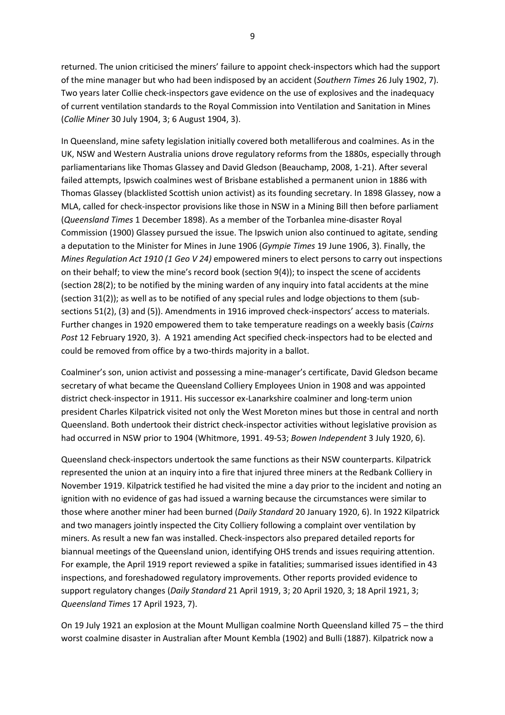returned. The union criticised the miners' failure to appoint check-inspectors which had the support of the mine manager but who had been indisposed by an accident (*Southern Times* 26 July 1902, 7). Two years later Collie check-inspectors gave evidence on the use of explosives and the inadequacy of current ventilation standards to the Royal Commission into Ventilation and Sanitation in Mines (*Collie Miner* 30 July 1904, 3; 6 August 1904, 3).

In Queensland, mine safety legislation initially covered both metalliferous and coalmines. As in the UK, NSW and Western Australia unions drove regulatory reforms from the 1880s, especially through parliamentarians like Thomas Glassey and David Gledson (Beauchamp, 2008, 1-21). After several failed attempts, Ipswich coalmines west of Brisbane established a permanent union in 1886 with Thomas Glassey (blacklisted Scottish union activist) as its founding secretary. In 1898 Glassey, now a MLA, called for check-inspector provisions like those in NSW in a Mining Bill then before parliament (*Queensland Times* 1 December 1898). As a member of the Torbanlea mine-disaster Royal Commission (1900) Glassey pursued the issue. The Ipswich union also continued to agitate, sending a deputation to the Minister for Mines in June 1906 (*Gympie Times* 19 June 1906, 3). Finally, the *Mines Regulation Act 1910 (1 Geo V 24)* empowered miners to elect persons to carry out inspections on their behalf; to view the mine's record book (section 9(4)); to inspect the scene of accidents (section 28(2); to be notified by the mining warden of any inquiry into fatal accidents at the mine (section 31(2)); as well as to be notified of any special rules and lodge objections to them (subsections 51(2), (3) and (5)). Amendments in 1916 improved check-inspectors' access to materials. Further changes in 1920 empowered them to take temperature readings on a weekly basis (*Cairns Post* 12 February 1920, 3). A 1921 amending Act specified check-inspectors had to be elected and could be removed from office by a two-thirds majority in a ballot.

Coalminer's son, union activist and possessing a mine-manager's certificate, David Gledson became secretary of what became the Queensland Colliery Employees Union in 1908 and was appointed district check-inspector in 1911. His successor ex-Lanarkshire coalminer and long-term union president Charles Kilpatrick visited not only the West Moreton mines but those in central and north Queensland. Both undertook their district check-inspector activities without legislative provision as had occurred in NSW prior to 1904 (Whitmore, 1991. 49-53; *Bowen Independent* 3 July 1920, 6).

Queensland check-inspectors undertook the same functions as their NSW counterparts. Kilpatrick represented the union at an inquiry into a fire that injured three miners at the Redbank Colliery in November 1919. Kilpatrick testified he had visited the mine a day prior to the incident and noting an ignition with no evidence of gas had issued a warning because the circumstances were similar to those where another miner had been burned (*Daily Standard* 20 January 1920, 6). In 1922 Kilpatrick and two managers jointly inspected the City Colliery following a complaint over ventilation by miners. As result a new fan was installed. Check-inspectors also prepared detailed reports for biannual meetings of the Queensland union, identifying OHS trends and issues requiring attention. For example, the April 1919 report reviewed a spike in fatalities; summarised issues identified in 43 inspections, and foreshadowed regulatory improvements. Other reports provided evidence to support regulatory changes (*Daily Standard* 21 April 1919, 3; 20 April 1920, 3; 18 April 1921, 3; *Queensland Times* 17 April 1923, 7).

On 19 July 1921 an explosion at the Mount Mulligan coalmine North Queensland killed 75 – the third worst coalmine disaster in Australian after Mount Kembla (1902) and Bulli (1887). Kilpatrick now a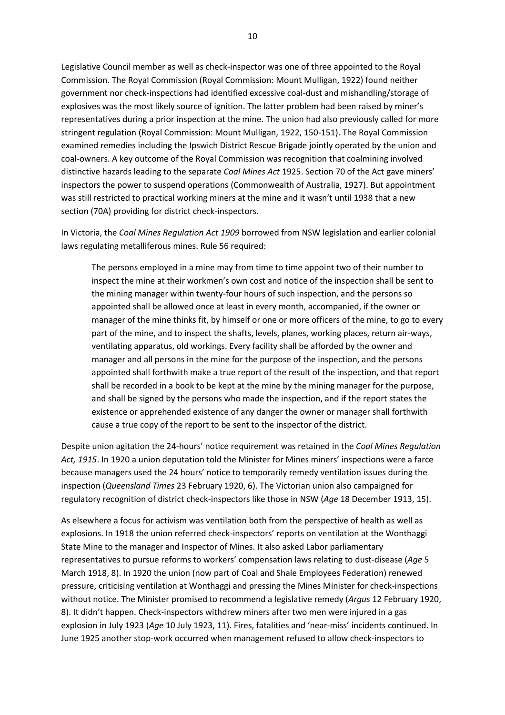Legislative Council member as well as check-inspector was one of three appointed to the Royal Commission. The Royal Commission (Royal Commission: Mount Mulligan, 1922) found neither government nor check-inspections had identified excessive coal-dust and mishandling/storage of explosives was the most likely source of ignition. The latter problem had been raised by miner's representatives during a prior inspection at the mine. The union had also previously called for more stringent regulation (Royal Commission: Mount Mulligan, 1922, 150-151). The Royal Commission examined remedies including the Ipswich District Rescue Brigade jointly operated by the union and coal-owners. A key outcome of the Royal Commission was recognition that coalmining involved distinctive hazards leading to the separate *Coal Mines Act* 1925. Section 70 of the Act gave miners' inspectors the power to suspend operations (Commonwealth of Australia, 1927). But appointment was still restricted to practical working miners at the mine and it wasn't until 1938 that a new section (70A) providing for district check-inspectors.

In Victoria, the *Coal Mines Regulation Act 1909* borrowed from NSW legislation and earlier colonial laws regulating metalliferous mines. Rule 56 required:

The persons employed in a mine may from time to time appoint two of their number to inspect the mine at their workmen's own cost and notice of the inspection shall be sent to the mining manager within twenty-four hours of such inspection, and the persons so appointed shall be allowed once at least in every month, accompanied, if the owner or manager of the mine thinks fit, by himself or one or more officers of the mine, to go to every part of the mine, and to inspect the shafts, levels, planes, working places, return air-ways, ventilating apparatus, old workings. Every facility shall be afforded by the owner and manager and all persons in the mine for the purpose of the inspection, and the persons appointed shall forthwith make a true report of the result of the inspection, and that report shall be recorded in a book to be kept at the mine by the mining manager for the purpose, and shall be signed by the persons who made the inspection, and if the report states the existence or apprehended existence of any danger the owner or manager shall forthwith cause a true copy of the report to be sent to the inspector of the district.

Despite union agitation the 24-hours' notice requirement was retained in the *Coal Mines Regulation Act, 1915*. In 1920 a union deputation told the Minister for Mines miners' inspections were a farce because managers used the 24 hours' notice to temporarily remedy ventilation issues during the inspection (*Queensland Times* 23 February 1920, 6). The Victorian union also campaigned for regulatory recognition of district check-inspectors like those in NSW (*Age* 18 December 1913, 15).

As elsewhere a focus for activism was ventilation both from the perspective of health as well as explosions. In 1918 the union referred check-inspectors' reports on ventilation at the Wonthaggi State Mine to the manager and Inspector of Mines. It also asked Labor parliamentary representatives to pursue reforms to workers' compensation laws relating to dust-disease (*Age* 5 March 1918, 8). In 1920 the union (now part of Coal and Shale Employees Federation) renewed pressure, criticising ventilation at Wonthaggi and pressing the Mines Minister for check-inspections without notice. The Minister promised to recommend a legislative remedy (*Argus* 12 February 1920, 8). It didn't happen. Check-inspectors withdrew miners after two men were injured in a gas explosion in July 1923 (*Age* 10 July 1923, 11). Fires, fatalities and 'near-miss' incidents continued. In June 1925 another stop-work occurred when management refused to allow check-inspectors to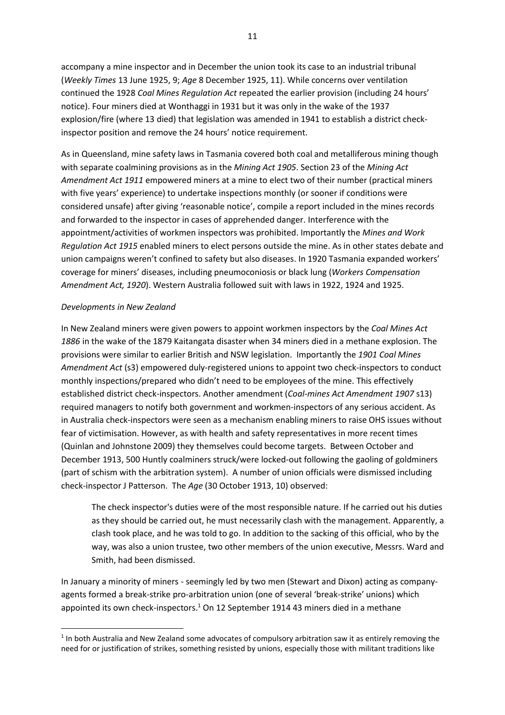accompany a mine inspector and in December the union took its case to an industrial tribunal (*Weekly Times* 13 June 1925, 9; *Age* 8 December 1925, 11). While concerns over ventilation continued the 1928 *Coal Mines Regulation Act* repeated the earlier provision (including 24 hours' notice). Four miners died at Wonthaggi in 1931 but it was only in the wake of the 1937 explosion/fire (where 13 died) that legislation was amended in 1941 to establish a district checkinspector position and remove the 24 hours' notice requirement.

As in Queensland, mine safety laws in Tasmania covered both coal and metalliferous mining though with separate coalmining provisions as in the *Mining Act 1905*. Section 23 of the *Mining Act Amendment Act 1911* empowered miners at a mine to elect two of their number (practical miners with five years' experience) to undertake inspections monthly (or sooner if conditions were considered unsafe) after giving 'reasonable notice', compile a report included in the mines records and forwarded to the inspector in cases of apprehended danger. Interference with the appointment/activities of workmen inspectors was prohibited. Importantly the *Mines and Work Regulation Act 1915* enabled miners to elect persons outside the mine. As in other states debate and union campaigns weren't confined to safety but also diseases. In 1920 Tasmania expanded workers' coverage for miners' diseases, including pneumoconiosis or black lung (*Workers Compensation Amendment Act, 1920*). Western Australia followed suit with laws in 1922, 1924 and 1925.

#### *Developments in New Zealand*

 $\overline{a}$ 

In New Zealand miners were given powers to appoint workmen inspectors by the *Coal Mines Act 1886* in the wake of the 1879 Kaitangata disaster when 34 miners died in a methane explosion. The provisions were similar to earlier British and NSW legislation. Importantly the *1901 Coal Mines Amendment Act* (s3) empowered duly-registered unions to appoint two check-inspectors to conduct monthly inspections/prepared who didn't need to be employees of the mine. This effectively established district check-inspectors. Another amendment (*Coal-mines Act Amendment 1907* s13) required managers to notify both government and workmen-inspectors of any serious accident. As in Australia check-inspectors were seen as a mechanism enabling miners to raise OHS issues without fear of victimisation. However, as with health and safety representatives in more recent times (Quinlan and Johnstone 2009) they themselves could become targets. Between October and December 1913, 500 Huntly coalminers struck/were locked-out following the gaoling of goldminers (part of schism with the arbitration system). A number of union officials were dismissed including check-inspector J Patterson. The *Age* (30 October 1913, 10) observed:

The check inspector's duties were of the most responsible nature. If he carried out his duties as they should be carried out, he must necessarily clash with the management. Apparently, a clash took place, and he was told to go. In addition to the sacking of this official, who by the way, was also a union trustee, two other members of the union executive, Messrs. Ward and Smith, had been dismissed.

In January a minority of miners - seemingly led by two men (Stewart and Dixon) acting as companyagents formed a break-strike pro-arbitration union (one of several 'break-strike' unions) which appointed its own check-inspectors.<sup>1</sup> On 12 September 1914 43 miners died in a methane

<sup>&</sup>lt;sup>1</sup> In both Australia and New Zealand some advocates of compulsory arbitration saw it as entirely removing the need for or justification of strikes, something resisted by unions, especially those with militant traditions like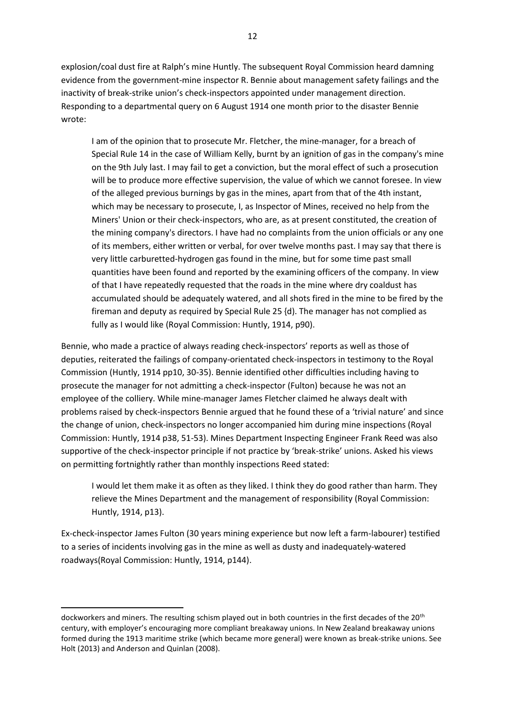explosion/coal dust fire at Ralph's mine Huntly. The subsequent Royal Commission heard damning evidence from the government-mine inspector R. Bennie about management safety failings and the inactivity of break-strike union's check-inspectors appointed under management direction. Responding to a departmental query on 6 August 1914 one month prior to the disaster Bennie wrote:

I am of the opinion that to prosecute Mr. Fletcher, the mine-manager, for a breach of Special Rule 14 in the case of William Kelly, burnt by an ignition of gas in the company's mine on the 9th July last. I may fail to get a conviction, but the moral effect of such a prosecution will be to produce more effective supervision, the value of which we cannot foresee. In view of the alleged previous burnings by gas in the mines, apart from that of the 4th instant, which may be necessary to prosecute, I, as Inspector of Mines, received no help from the Miners' Union or their check-inspectors, who are, as at present constituted, the creation of the mining company's directors. I have had no complaints from the union officials or any one of its members, either written or verbal, for over twelve months past. I may say that there is very little carburetted-hydrogen gas found in the mine, but for some time past small quantities have been found and reported by the examining officers of the company. In view of that I have repeatedly requested that the roads in the mine where dry coaldust has accumulated should be adequately watered, and all shots fired in the mine to be fired by the fireman and deputy as required by Special Rule 25 {d). The manager has not complied as fully as I would like (Royal Commission: Huntly, 1914, p90).

Bennie, who made a practice of always reading check-inspectors' reports as well as those of deputies, reiterated the failings of company-orientated check-inspectors in testimony to the Royal Commission (Huntly, 1914 pp10, 30-35). Bennie identified other difficulties including having to prosecute the manager for not admitting a check-inspector (Fulton) because he was not an employee of the colliery. While mine-manager James Fletcher claimed he always dealt with problems raised by check-inspectors Bennie argued that he found these of a 'trivial nature' and since the change of union, check-inspectors no longer accompanied him during mine inspections (Royal Commission: Huntly, 1914 p38, 51-53). Mines Department Inspecting Engineer Frank Reed was also supportive of the check-inspector principle if not practice by 'break-strike' unions. Asked his views on permitting fortnightly rather than monthly inspections Reed stated:

I would let them make it as often as they liked. I think they do good rather than harm. They relieve the Mines Department and the management of responsibility (Royal Commission: Huntly, 1914, p13).

Ex-check-inspector James Fulton (30 years mining experience but now left a farm-labourer) testified to a series of incidents involving gas in the mine as well as dusty and inadequately-watered roadways(Royal Commission: Huntly, 1914, p144).

 $\overline{a}$ 

dockworkers and miners. The resulting schism played out in both countries in the first decades of the 20<sup>th</sup> century, with employer's encouraging more compliant breakaway unions. In New Zealand breakaway unions formed during the 1913 maritime strike (which became more general) were known as break-strike unions. See Holt (2013) and Anderson and Quinlan (2008).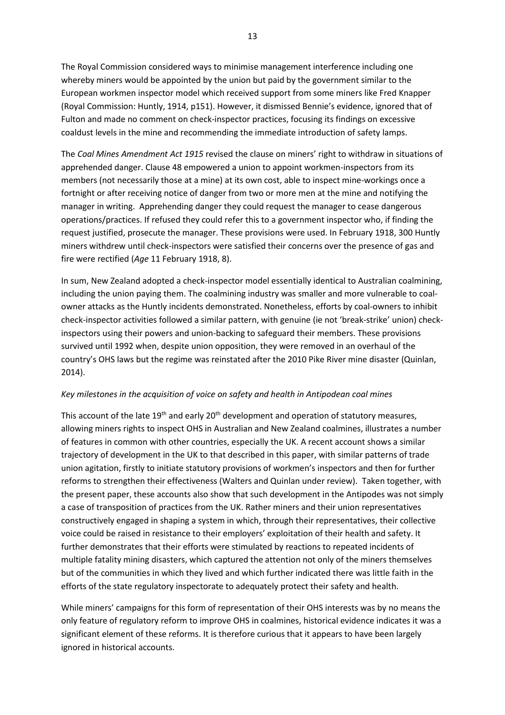The Royal Commission considered ways to minimise management interference including one whereby miners would be appointed by the union but paid by the government similar to the European workmen inspector model which received support from some miners like Fred Knapper (Royal Commission: Huntly, 1914, p151). However, it dismissed Bennie's evidence, ignored that of Fulton and made no comment on check-inspector practices, focusing its findings on excessive coaldust levels in the mine and recommending the immediate introduction of safety lamps.

The *Coal Mines Amendment Act 1915* revised the clause on miners' right to withdraw in situations of apprehended danger. Clause 48 empowered a union to appoint workmen-inspectors from its members (not necessarily those at a mine) at its own cost, able to inspect mine-workings once a fortnight or after receiving notice of danger from two or more men at the mine and notifying the manager in writing. Apprehending danger they could request the manager to cease dangerous operations/practices. If refused they could refer this to a government inspector who, if finding the request justified, prosecute the manager. These provisions were used. In February 1918, 300 Huntly miners withdrew until check-inspectors were satisfied their concerns over the presence of gas and fire were rectified (*Age* 11 February 1918, 8).

In sum, New Zealand adopted a check-inspector model essentially identical to Australian coalmining, including the union paying them. The coalmining industry was smaller and more vulnerable to coalowner attacks as the Huntly incidents demonstrated. Nonetheless, efforts by coal-owners to inhibit check-inspector activities followed a similar pattern, with genuine (ie not 'break-strike' union) checkinspectors using their powers and union-backing to safeguard their members. These provisions survived until 1992 when, despite union opposition, they were removed in an overhaul of the country's OHS laws but the regime was reinstated after the 2010 Pike River mine disaster (Quinlan, 2014).

#### *Key milestones in the acquisition of voice on safety and health in Antipodean coal mines*

This account of the late  $19<sup>th</sup>$  and early  $20<sup>th</sup>$  development and operation of statutory measures, allowing miners rights to inspect OHS in Australian and New Zealand coalmines, illustrates a number of features in common with other countries, especially the UK. A recent account shows a similar trajectory of development in the UK to that described in this paper, with similar patterns of trade union agitation, firstly to initiate statutory provisions of workmen's inspectors and then for further reforms to strengthen their effectiveness (Walters and Quinlan under review). Taken together, with the present paper, these accounts also show that such development in the Antipodes was not simply a case of transposition of practices from the UK. Rather miners and their union representatives constructively engaged in shaping a system in which, through their representatives, their collective voice could be raised in resistance to their employers' exploitation of their health and safety. It further demonstrates that their efforts were stimulated by reactions to repeated incidents of multiple fatality mining disasters, which captured the attention not only of the miners themselves but of the communities in which they lived and which further indicated there was little faith in the efforts of the state regulatory inspectorate to adequately protect their safety and health.

While miners' campaigns for this form of representation of their OHS interests was by no means the only feature of regulatory reform to improve OHS in coalmines, historical evidence indicates it was a significant element of these reforms. It is therefore curious that it appears to have been largely ignored in historical accounts.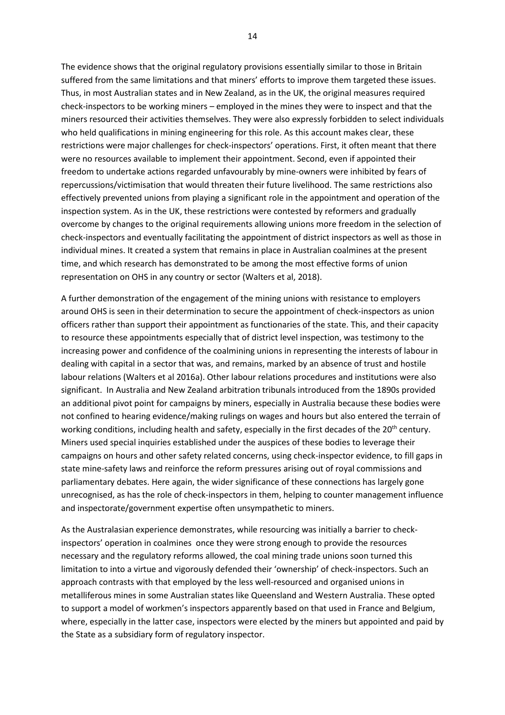The evidence shows that the original regulatory provisions essentially similar to those in Britain suffered from the same limitations and that miners' efforts to improve them targeted these issues. Thus, in most Australian states and in New Zealand, as in the UK, the original measures required check-inspectors to be working miners – employed in the mines they were to inspect and that the miners resourced their activities themselves. They were also expressly forbidden to select individuals who held qualifications in mining engineering for this role. As this account makes clear, these restrictions were major challenges for check-inspectors' operations. First, it often meant that there were no resources available to implement their appointment. Second, even if appointed their freedom to undertake actions regarded unfavourably by mine-owners were inhibited by fears of repercussions/victimisation that would threaten their future livelihood. The same restrictions also effectively prevented unions from playing a significant role in the appointment and operation of the inspection system. As in the UK, these restrictions were contested by reformers and gradually overcome by changes to the original requirements allowing unions more freedom in the selection of check-inspectors and eventually facilitating the appointment of district inspectors as well as those in individual mines. It created a system that remains in place in Australian coalmines at the present time, and which research has demonstrated to be among the most effective forms of union representation on OHS in any country or sector (Walters et al, 2018).

A further demonstration of the engagement of the mining unions with resistance to employers around OHS is seen in their determination to secure the appointment of check-inspectors as union officers rather than support their appointment as functionaries of the state. This, and their capacity to resource these appointments especially that of district level inspection, was testimony to the increasing power and confidence of the coalmining unions in representing the interests of labour in dealing with capital in a sector that was, and remains, marked by an absence of trust and hostile labour relations (Walters et al 2016a). Other labour relations procedures and institutions were also significant. In Australia and New Zealand arbitration tribunals introduced from the 1890s provided an additional pivot point for campaigns by miners, especially in Australia because these bodies were not confined to hearing evidence/making rulings on wages and hours but also entered the terrain of working conditions, including health and safety, especially in the first decades of the  $20<sup>th</sup>$  century. Miners used special inquiries established under the auspices of these bodies to leverage their campaigns on hours and other safety related concerns, using check-inspector evidence, to fill gaps in state mine-safety laws and reinforce the reform pressures arising out of royal commissions and parliamentary debates. Here again, the wider significance of these connections has largely gone unrecognised, as has the role of check-inspectors in them, helping to counter management influence and inspectorate/government expertise often unsympathetic to miners.

As the Australasian experience demonstrates, while resourcing was initially a barrier to checkinspectors' operation in coalmines once they were strong enough to provide the resources necessary and the regulatory reforms allowed, the coal mining trade unions soon turned this limitation to into a virtue and vigorously defended their 'ownership' of check-inspectors. Such an approach contrasts with that employed by the less well-resourced and organised unions in metalliferous mines in some Australian states like Queensland and Western Australia. These opted to support a model of workmen's inspectors apparently based on that used in France and Belgium, where, especially in the latter case, inspectors were elected by the miners but appointed and paid by the State as a subsidiary form of regulatory inspector.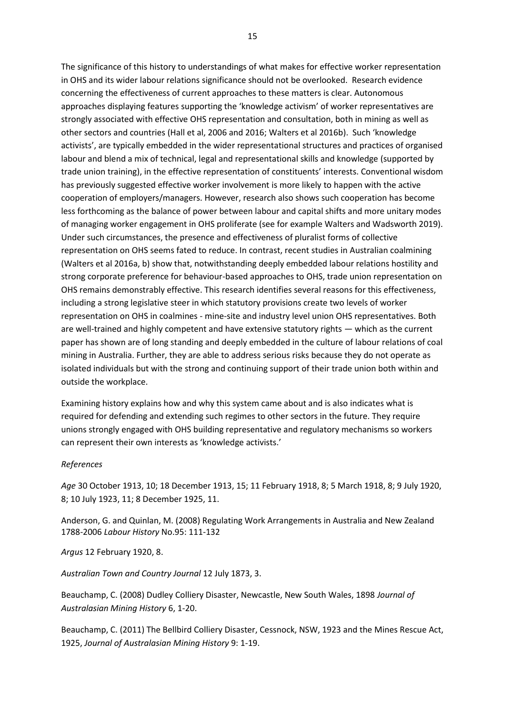The significance of this history to understandings of what makes for effective worker representation in OHS and its wider labour relations significance should not be overlooked. Research evidence concerning the effectiveness of current approaches to these matters is clear. Autonomous approaches displaying features supporting the 'knowledge activism' of worker representatives are strongly associated with effective OHS representation and consultation, both in mining as well as other sectors and countries (Hall et al, 2006 and 2016; Walters et al 2016b). Such 'knowledge activists', are typically embedded in the wider representational structures and practices of organised labour and blend a mix of technical, legal and representational skills and knowledge (supported by trade union training), in the effective representation of constituents' interests. Conventional wisdom has previously suggested effective worker involvement is more likely to happen with the active cooperation of employers/managers. However, research also shows such cooperation has become less forthcoming as the balance of power between labour and capital shifts and more unitary modes of managing worker engagement in OHS proliferate (see for example Walters and Wadsworth 2019). Under such circumstances, the presence and effectiveness of pluralist forms of collective representation on OHS seems fated to reduce. In contrast, recent studies in Australian coalmining (Walters et al 2016a, b) show that, notwithstanding deeply embedded labour relations hostility and strong corporate preference for behaviour-based approaches to OHS, trade union representation on OHS remains demonstrably effective. This research identifies several reasons for this effectiveness, including a strong legislative steer in which statutory provisions create two levels of worker representation on OHS in coalmines - mine-site and industry level union OHS representatives. Both are well-trained and highly competent and have extensive statutory rights — which as the current paper has shown are of long standing and deeply embedded in the culture of labour relations of coal mining in Australia. Further, they are able to address serious risks because they do not operate as isolated individuals but with the strong and continuing support of their trade union both within and outside the workplace.

Examining history explains how and why this system came about and is also indicates what is required for defending and extending such regimes to other sectors in the future. They require unions strongly engaged with OHS building representative and regulatory mechanisms so workers can represent their own interests as 'knowledge activists.'

#### *References*

*Age* 30 October 1913, 10; 18 December 1913, 15; 11 February 1918, 8; 5 March 1918, 8; 9 July 1920, 8; 10 July 1923, 11; 8 December 1925, 11.

Anderson, G. and Quinlan, M. (2008) Regulating Work Arrangements in Australia and New Zealand 1788-2006 *Labour History* No.95: 111-132

*Argus* 12 February 1920, 8.

*Australian Town and Country Journal* 12 July 1873, 3.

Beauchamp, C. (2008) Dudley Colliery Disaster, Newcastle, New South Wales, 1898 *Journal of Australasian Mining History* 6, 1-20.

Beauchamp, C. (2011) The Bellbird Colliery Disaster, Cessnock, NSW, 1923 and the Mines Rescue Act, 1925, *Journal of Australasian Mining History* 9: 1-19.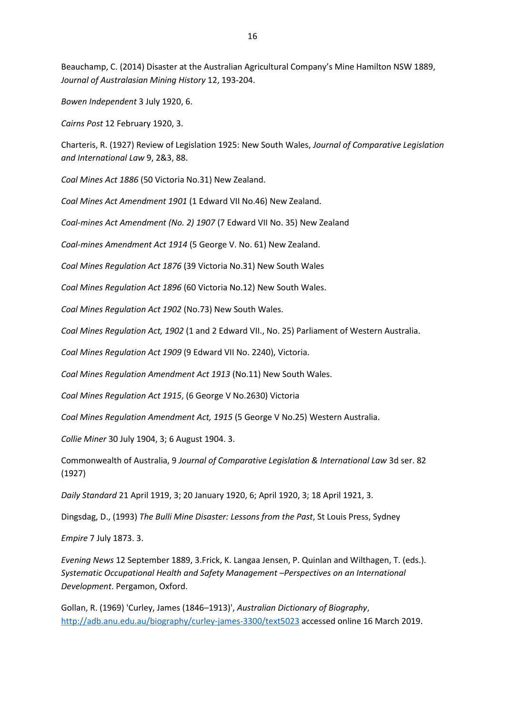Beauchamp, C. (2014) Disaster at the Australian Agricultural Company's Mine Hamilton NSW 1889, *Journal of Australasian Mining History* 12, 193-204.

*Bowen Independent* 3 July 1920, 6.

*Cairns Post* 12 February 1920, 3.

Charteris, R. (1927) Review of Legislation 1925: New South Wales, *Journal of Comparative Legislation and International Law* 9, 2&3, 88.

*Coal Mines Act 1886* (50 Victoria No.31) New Zealand.

*Coal Mines Act Amendment 1901* (1 Edward VII No.46) New Zealand.

*Coal-mines Act Amendment (No. 2) 1907* (7 Edward VII No. 35) New Zealand

*Coal-mines Amendment Act 1914* (5 George V. No. 61) New Zealand.

*Coal Mines Regulation Act 1876* (39 Victoria No.31) New South Wales

*Coal Mines Regulation Act 1896* (60 Victoria No.12) New South Wales.

*Coal Mines Regulation Act 1902* (No.73) New South Wales.

*Coal Mines Regulation Act, 1902* (1 and 2 Edward VII., No. 25) Parliament of Western Australia.

*Coal Mines Regulation Act 1909* (9 Edward VII No. 2240), Victoria.

*Coal Mines Regulation Amendment Act 1913* (No.11) New South Wales.

*Coal Mines Regulation Act 1915*, (6 George V No.2630) Victoria

*Coal Mines Regulation Amendment Act, 1915* (5 George V No.25) Western Australia.

*Collie Miner* 30 July 1904, 3; 6 August 1904. 3.

Commonwealth of Australia, 9 *Journal of Comparative Legislation & International Law* 3d ser. 82 (1927)

*Daily Standard* 21 April 1919, 3; 20 January 1920, 6; April 1920, 3; 18 April 1921, 3.

Dingsdag, D., (1993) *The Bulli Mine Disaster: Lessons from the Past*, St Louis Press, Sydney

*Empire* 7 July 1873. 3.

*Evening News* 12 September 1889, 3.Frick, K. Langaa Jensen, P. Quinlan and Wilthagen, T. (eds.). *Systematic Occupational Health and Safety Management –Perspectives on an International Development*. Pergamon, Oxford.

Gollan, R. (1969) 'Curley, James (1846–1913)', *Australian Dictionary of Biography*, <http://adb.anu.edu.au/biography/curley-james-3300/text5023>accessed online 16 March 2019.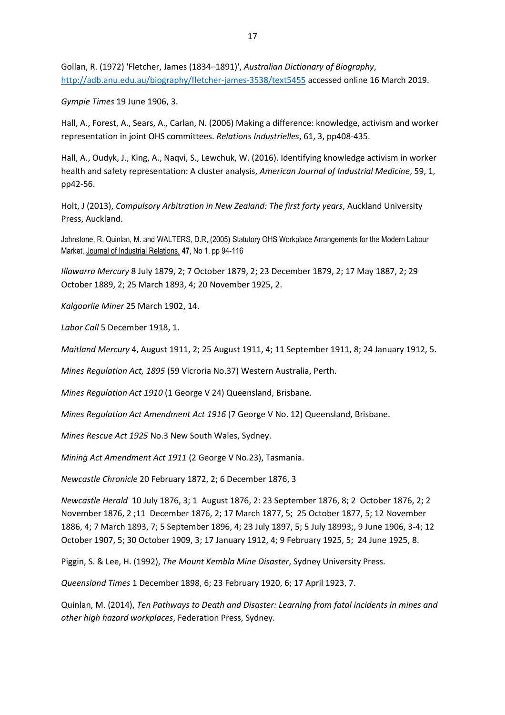Gollan, R. (1972) 'Fletcher, James (1834–1891)', *Australian Dictionary of Biography*, [http://adb.anu.edu.au/biography/fletcher-james-3538/text5455 a](http://adb.anu.edu.au/biography/fletcher-james-3538/text5455)ccessed online 16 March 2019.

*Gympie Times* 19 June 1906, 3.

Hall, A., Forest, A., Sears, A., Carlan, N. (2006) Making a difference: knowledge, activism and worker representation in joint OHS committees. *Relations Industrielles*, 61, 3, pp408-435.

Hall, A., Oudyk, J., King, A., Naqvi, S., Lewchuk, W. (2016). Identifying knowledge activism in worker health and safety representation: A cluster analysis, *American Journal of Industrial Medicine*, 59, 1, pp42-56.

Holt, J (2013), *Compulsory Arbitration in New Zealand: The first forty years*, Auckland University Press, Auckland.

Johnstone, R, Quinlan, M. and WALTERS, D.R, (2005) Statutory OHS Workplace Arrangements for the Modern Labour Market, Journal of Industrial Relations, **47**, No 1. pp 94-116

*Illawarra Mercury* 8 July 1879, 2; 7 October 1879, 2; 23 December 1879, 2; 17 May 1887, 2; 29 October 1889, 2; 25 March 1893, 4; 20 November 1925, 2.

*Kalgoorlie Miner* 25 March 1902, 14.

*Labor Call* 5 December 1918, 1.

*Maitland Mercury* 4, August 1911, 2; 25 August 1911, 4; 11 September 1911, 8; 24 January 1912, 5.

*Mines Regulation Act, 1895* (59 Vicroria No.37) Western Australia, Perth.

*Mines Regulation Act 1910* (1 George V 24) Queensland, Brisbane.

*Mines Regulation Act Amendment Act 1916* (7 George V No. 12) Queensland, Brisbane.

*Mines Rescue Act 1925* No.3 New South Wales, Sydney.

*Mining Act Amendment Act 1911* (2 George V No.23), Tasmania.

*Newcastle Chronicle* 20 February 1872, 2; 6 December 1876, 3

*Newcastle Herald* 10 July 1876, 3; 1 August 1876, 2: 23 September 1876, 8; 2 October 1876, 2; 2 November 1876, 2 ;11 December 1876, 2; 17 March 1877, 5; 25 October 1877, 5; 12 November 1886, 4; 7 March 1893, 7; 5 September 1896, 4; 23 July 1897, 5; 5 July 18993;, 9 June 1906, 3-4; 12 October 1907, 5; 30 October 1909, 3; 17 January 1912, 4; 9 February 1925, 5; 24 June 1925, 8.

Piggin, S. & Lee, H. (1992), *The Mount Kembla Mine Disaster*, Sydney University Press.

*Queensland Times* 1 December 1898, 6; 23 February 1920, 6; 17 April 1923, 7.

Quinlan, M. (2014), *Ten Pathways to Death and Disaster: Learning from fatal incidents in mines and other high hazard workplaces*, Federation Press, Sydney.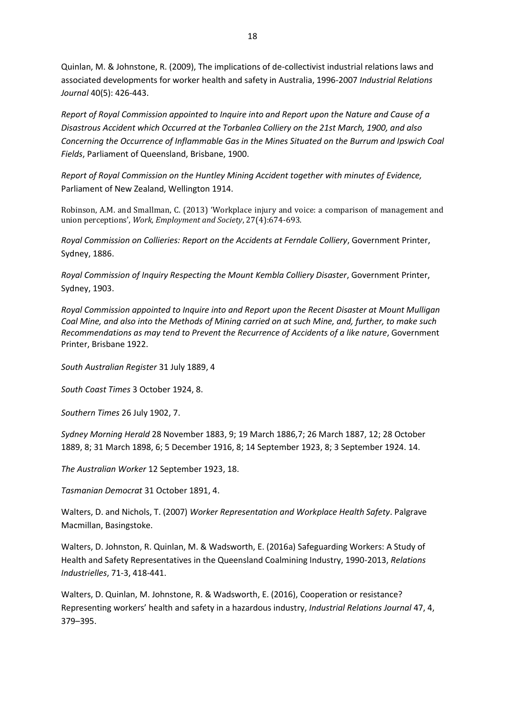Quinlan, M. & Johnstone, R. (2009), The implications of de-collectivist industrial relations laws and associated developments for worker health and safety in Australia, 1996-2007 *Industrial Relations Journal* 40(5): 426-443.

*Report of Royal Commission appointed to Inquire into and Report upon the Nature and Cause of a Disastrous Accident which Occurred at the Torbanlea Colliery on the 21st March, 1900, and also Concerning the Occurrence of Inflammable Gas in the Mines Situated on the Burrum and Ipswich Coal Fields*, Parliament of Queensland, Brisbane, 1900.

*Report of Royal Commission on the Huntley Mining Accident together with minutes of Evidence,* Parliament of New Zealand, Wellington 1914.

Robinson, A.M. and Smallman, C. (2013) 'Workplace injury and voice: a comparison of management and union perceptions', *Work, Employment and Society*, 27(4):674-693.

*Royal Commission on Collieries: Report on the Accidents at Ferndale Colliery*, Government Printer, Sydney, 1886.

*Royal Commission of Inquiry Respecting the Mount Kembla Colliery Disaster*, Government Printer, Sydney, 1903.

*Royal Commission appointed to Inquire into and Report upon the Recent Disaster at Mount Mulligan Coal Mine, and also into the Methods of Mining carried on at such Mine, and, further, to make such Recommendations as may tend to Prevent the Recurrence of Accidents of a like nature*, Government Printer, Brisbane 1922.

*South Australian Register* 31 July 1889, 4

*South Coast Times* 3 October 1924, 8.

*Southern Times* 26 July 1902, 7.

*Sydney Morning Herald* 28 November 1883, 9; 19 March 1886,7; 26 March 1887, 12; 28 October 1889, 8; 31 March 1898, 6; 5 December 1916, 8; 14 September 1923, 8; 3 September 1924. 14.

*The Australian Worker* 12 September 1923, 18.

*Tasmanian Democrat* 31 October 1891, 4.

Walters, D. and Nichols, T. (2007) *Worker Representation and Workplace Health Safety*. Palgrave Macmillan, Basingstoke.

Walters, D. Johnston, R. Quinlan, M. & Wadsworth, E. (2016a) Safeguarding Workers: A Study of Health and Safety Representatives in the Queensland Coalmining Industry, 1990-2013, *Relations Industrielles*, 71-3, 418-441.

Walters, D. Quinlan, M. Johnstone, R. & Wadsworth, E. (2016), Cooperation or resistance? Representing workers' health and safety in a hazardous industry, *Industrial Relations Journal* 47, 4, 379–395.